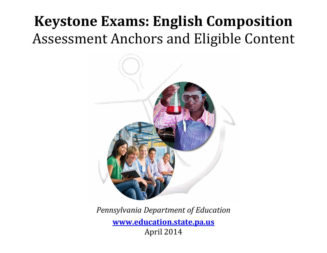# **Keystone Exams: English Composition** Assessment Anchors and Eligible Content



*Pennsylvania Department of Education*

**www.education.state.pa.us** April 2014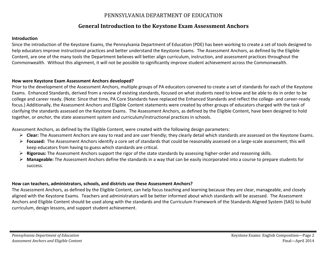# PENNSYLVANIA DEPARTMENT OF EDUCATION

# **General Introduction to the Keystone Exam Assessment Anchors**

### **Introduction**

Since the introduction of the Keystone Exams, the Pennsylvania Department of Education (PDE) has been working to create <sup>a</sup> set of tools designed to help educators improve instructional practices and better understand the Keystone Exams. The Assessment Anchors, as defined by the Eligible Content, are one of the many tools the Department believes will better align curriculum, instruction, and assessment practices throughout the Commonwealth. Without this alignment, it will not be possible to significantly improve student achievement across the Commonwealth.

### **How were Keystone Exam Assessment Anchors developed?**

Prior to the development of the Assessment Anchors, multiple groups of PA educators convened to create <sup>a</sup> set of standards for each of the Keystone Exams. Enhanced Standards, derived from <sup>a</sup> review of existing standards, focused on what students need to know and be able to do in order to be college and career ready. (Note: Since that time, PA Core Standards have replaced the Enhanced Standards and reflect the college‐ and career‐ready focus.) Additionally, the Assessment Anchors and Eligible Content statements were created by other groups of educators charged with the task of clarifying the standards assessed on the Keystone Exams. The Assessment Anchors, as defined by the Eligible Content, have been designed to hold together, or *anchor*, the state assessment system and curriculum/instructional practices in schools.

Assessment Anchors, as defined by the Eligible Content, were created with the following design parameters:

- **Clear:** The Assessment Anchors are easy to read and are user friendly; they clearly detail which standards are assessed on the Keystone Exams.
- **Focused:** The Assessment Anchors identify <sup>a</sup> core set of standards that could be reasonably assessed on <sup>a</sup> large‐scale assessment; this will keep educators from having to guess which standards are critical.
- **Rigorous:** The Assessment Anchors support the rigor of the state standards by assessing higher‐order and reasoning skills.
- **Manageable:** The Assessment Anchors define the standards in <sup>a</sup> way that can be easily incorporated into <sup>a</sup> course to prepare students for success.

### **How can teachers, administrators, schools, and districts use these Assessment Anchors?**

The Assessment Anchors, as defined by the Eligible Content, can help focus teaching and learning because they are clear, manageable, and closely aligned with the Keystone Exams. Teachers and administrators will be better informed about which standards will be assessed. The Assessment Anchors and Eligible Content should be used along with the standards and the Curriculum Framework of the Standards Aligned System (SAS) to build curriculum, design lessons, and support student achievement.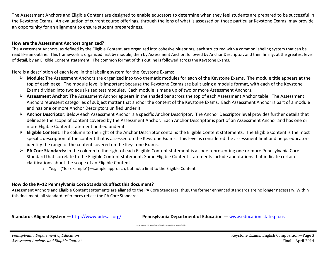The Assessment Anchors and Eligible Content are designed to enable educators to determine when they feel students are prepared to be successful in the Keystone Exams. An evaluation of current course offerings, through the lens of what is assessed on those particular Keystone Exams, may provide an opportunity for an alignment to ensure student preparedness.

### **How are the Assessment Anchors organized?**

The Assessment Anchors, as defined by the Eligible Content, are organized into cohesive blueprints, each structured with <sup>a</sup> common labeling system that can be read like an outline. This framework is organized first by module, then by Assessment Anchor, followed by Anchor Descriptor, and then finally, at the greatest level of detail, by an Eligible Content statement. The common format of this outline is followed across the Keystone Exams.

Here is <sup>a</sup> description of each level in the labeling system for the Keystone Exams:

- **Module:** The Assessment Anchors are organized into two thematic modules for each of the Keystone Exams. The module title appears at the top of each page. The module level is important because the Keystone Exams are built using <sup>a</sup> module format, with each of the Keystone Exams divided into two equal‐sized test modules. Each module is made up of two or more Assessment Anchors.
- **Assessment Anchor:** The Assessment Anchor appears in the shaded bar across the top of each Assessment Anchor table. The Assessment Anchors represent categories of subject matter that anchor the content of the Keystone Exams. Each Assessment Anchor is part of <sup>a</sup> module and has one or more Anchor Descriptors unified under it.
- **Anchor Descriptor:** Below each Assessment Anchor is <sup>a</sup> specific Anchor Descriptor. The Anchor Descriptor level provides further details that delineate the scope of content covered by the Assessment Anchor. Each Anchor Descriptor is part of an Assessment Anchor and has one or more Eligible Content statement unified under it.
- **Eligible Content:** The column to the right of the Anchor Descriptor contains the Eligible Content statements. The Eligible Content is the most specific description of the content that is assessed on the Keystone Exams. This level is considered the assessment limit and helps educators identify the range of the content covered on the Keystone Exams.
- **PA Core Standards:** In the column to the right of each Eligible Content statement is <sup>a</sup> code representing one or more Pennsylvania Core Standard that correlate to the Eligible Content statement. Some Eligible Content statements include annotations that indicate certain clarifications about the scope of an Eligible Content.
	- $\circ$  "e.g." ("for example")—sample approach, but not a limit to the Eligible Content

### **How do the K–12 Pennsylvania Core Standards affect this document?**

Assessment Anchors and Eligible Content statements are aligned to the PA Core Standards; thus, the former enhanced standards are no longer necessary. Within this document, all standard references reflect the PA Core Standards.

**Standards Aligned System - http://www.pdesas.org/** 

**Pennsylvania Department of Education — www.education.state.pa.us** 

Cover photo © Hill Street Studios/Harmik Nazarian/Blend Images/Corbis.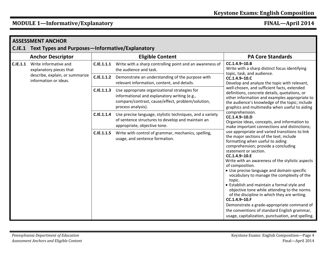# **MODULE 1—Informative/Explanatory FINAL—April 2014**

| <b>ASSESSMENT ANCHOR</b> |                                                                                                              |                   |                                                                                                                                                                          |                                                                                                                                                                                                                                                                                                                                                                                                                                                                                                                                                                                                                                                                                                                                                                                                                                                                                                                                                                                                                                                                                                                                                                  |  |
|--------------------------|--------------------------------------------------------------------------------------------------------------|-------------------|--------------------------------------------------------------------------------------------------------------------------------------------------------------------------|------------------------------------------------------------------------------------------------------------------------------------------------------------------------------------------------------------------------------------------------------------------------------------------------------------------------------------------------------------------------------------------------------------------------------------------------------------------------------------------------------------------------------------------------------------------------------------------------------------------------------------------------------------------------------------------------------------------------------------------------------------------------------------------------------------------------------------------------------------------------------------------------------------------------------------------------------------------------------------------------------------------------------------------------------------------------------------------------------------------------------------------------------------------|--|
|                          | C.IE.1 Text Types and Purposes-Informative/Explanatory                                                       |                   |                                                                                                                                                                          |                                                                                                                                                                                                                                                                                                                                                                                                                                                                                                                                                                                                                                                                                                                                                                                                                                                                                                                                                                                                                                                                                                                                                                  |  |
|                          | <b>Anchor Descriptor</b>                                                                                     |                   | <b>Eligible Content</b>                                                                                                                                                  | <b>PA Core Standards</b>                                                                                                                                                                                                                                                                                                                                                                                                                                                                                                                                                                                                                                                                                                                                                                                                                                                                                                                                                                                                                                                                                                                                         |  |
| C.IE.1.1                 | Write informative and<br>explanatory pieces that<br>describe, explain, or summarize<br>information or ideas. | C.IE.1.1.1        | Write with a sharp controlling point and an awareness of<br>the audience and task.                                                                                       | CC.1.4.9-10.B<br>Write with a sharp distinct focus identifying<br>topic, task, and audience.<br>CC.1.4.9-10.C<br>Develop and analyze the topic with relevant,<br>well-chosen, and sufficient facts, extended<br>definitions, concrete details, quotations, or<br>other information and examples appropriate to<br>the audience's knowledge of the topic; include<br>graphics and multimedia when useful to aiding<br>comprehension.<br>CC.1.4.9-10.D<br>Organize ideas, concepts, and information to<br>make important connections and distinctions;<br>use appropriate and varied transitions to link<br>the major sections of the text; include<br>formatting when useful to aiding<br>comprehension; provide a concluding<br>statement or section.<br>CC.1.4.9-10.E<br>Write with an awareness of the stylistic aspects<br>of composition.<br>• Use precise language and domain-specific<br>vocabulary to manage the complexity of the<br>topic.<br>• Establish and maintain a formal style and<br>objective tone while attending to the norms<br>of the discipline in which they are writing.<br>CC.1.4.9-10.F<br>Demonstrate a grade-appropriate command of |  |
|                          |                                                                                                              | <b>C.IE.1.1.2</b> | Demonstrate an understanding of the purpose with<br>relevant information, content, and details.                                                                          |                                                                                                                                                                                                                                                                                                                                                                                                                                                                                                                                                                                                                                                                                                                                                                                                                                                                                                                                                                                                                                                                                                                                                                  |  |
|                          |                                                                                                              | C.IE.1.1.3        | Use appropriate organizational strategies for<br>informational and explanatory writing (e.g.,<br>compare/contrast, cause/effect, problem/solution,<br>process analysis). |                                                                                                                                                                                                                                                                                                                                                                                                                                                                                                                                                                                                                                                                                                                                                                                                                                                                                                                                                                                                                                                                                                                                                                  |  |
|                          |                                                                                                              | C.IE.1.1.4        | Use precise language, stylistic techniques, and a variety<br>of sentence structures to develop and maintain an<br>appropriate, objective tone.                           |                                                                                                                                                                                                                                                                                                                                                                                                                                                                                                                                                                                                                                                                                                                                                                                                                                                                                                                                                                                                                                                                                                                                                                  |  |
|                          |                                                                                                              | C.IE.1.1.5        | Write with control of grammar, mechanics, spelling,<br>usage, and sentence formation.                                                                                    |                                                                                                                                                                                                                                                                                                                                                                                                                                                                                                                                                                                                                                                                                                                                                                                                                                                                                                                                                                                                                                                                                                                                                                  |  |
|                          |                                                                                                              |                   |                                                                                                                                                                          | the conventions of standard English grammar,<br>usage, capitalization, punctuation, and spelling.                                                                                                                                                                                                                                                                                                                                                                                                                                                                                                                                                                                                                                                                                                                                                                                                                                                                                                                                                                                                                                                                |  |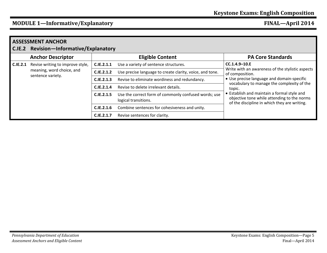# **MODULE 1—Informative/Explanatory FINAL—April 2014**

| C.IE.2   | <b>ASSESSMENT ANCHOR</b><br><b>Revision-Informative/Explanatory</b>                |                                                     |                                                                              |                                                                                                                                                 |  |  |  |
|----------|------------------------------------------------------------------------------------|-----------------------------------------------------|------------------------------------------------------------------------------|-------------------------------------------------------------------------------------------------------------------------------------------------|--|--|--|
|          | <b>Anchor Descriptor</b>                                                           | <b>Eligible Content</b><br><b>PA Core Standards</b> |                                                                              |                                                                                                                                                 |  |  |  |
| C.IE.2.1 | Revise writing to improve style,<br>meaning, word choice, and<br>sentence variety. | C.IE.2.1.1                                          | Use a variety of sentence structures.                                        | $CC.1.4.9 - 10.E$                                                                                                                               |  |  |  |
|          |                                                                                    | C.IE.2.1.2                                          | Use precise language to create clarity, voice, and tone.                     | Write with an awareness of the stylistic aspects<br>of composition.                                                                             |  |  |  |
|          |                                                                                    | C.IE.2.1.3                                          | Revise to eliminate wordiness and redundancy.                                | • Use precise language and domain-specific                                                                                                      |  |  |  |
|          |                                                                                    | C.IE.2.1.4                                          | Revise to delete irrelevant details.                                         | vocabulary to manage the complexity of the<br>topic.                                                                                            |  |  |  |
|          |                                                                                    | C.IE.2.1.5                                          | Use the correct form of commonly confused words; use<br>logical transitions. | <b>Establish and maintain a formal style and</b><br>objective tone while attending to the norms<br>of the discipline in which they are writing. |  |  |  |
|          |                                                                                    | C.IE.2.1.6                                          | Combine sentences for cohesiveness and unity.                                |                                                                                                                                                 |  |  |  |
|          |                                                                                    | C.IE.2.1.7                                          | Revise sentences for clarity.                                                |                                                                                                                                                 |  |  |  |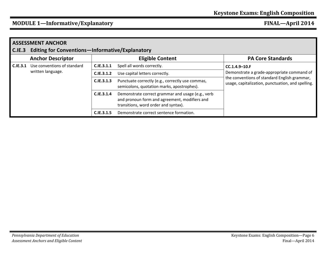## **MODULE 1—Informative/Explanatory FINAL—April 2014**

| C.IE.3   | <b>ASSESSMENT ANCHOR</b><br><b>Editing for Conventions-Informative/Explanatory</b> |            |                                                                                                                                            |                                                                                                                                                                      |  |  |
|----------|------------------------------------------------------------------------------------|------------|--------------------------------------------------------------------------------------------------------------------------------------------|----------------------------------------------------------------------------------------------------------------------------------------------------------------------|--|--|
|          | <b>Anchor Descriptor</b>                                                           |            | <b>Eligible Content</b>                                                                                                                    | <b>PA Core Standards</b>                                                                                                                                             |  |  |
| C.IE.3.1 | Use conventions of standard<br>written language.                                   | C.IE.3.1.1 | Spell all words correctly.                                                                                                                 | $CC.1.4.9 - 10.F$<br>Demonstrate a grade-appropriate command of<br>the conventions of standard English grammar,<br>usage, capitalization, punctuation, and spelling. |  |  |
|          |                                                                                    | C.IE.3.1.2 | Use capital letters correctly.                                                                                                             |                                                                                                                                                                      |  |  |
|          |                                                                                    | C.IE.3.1.3 | Punctuate correctly (e.g., correctly use commas,<br>semicolons, quotation marks, apostrophes).                                             |                                                                                                                                                                      |  |  |
|          |                                                                                    | C.IE.3.1.4 | Demonstrate correct grammar and usage (e.g., verb<br>and pronoun form and agreement, modifiers and<br>transitions, word order and syntax). |                                                                                                                                                                      |  |  |
|          |                                                                                    | C.IE.3.1.5 | Demonstrate correct sentence formation.                                                                                                    |                                                                                                                                                                      |  |  |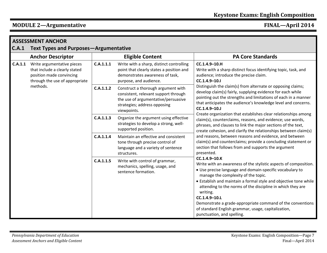# **MODULE 2—Argumentative FINAL—April 2014**

| C.A.1   | <b>ASSESSMENT ANCHOR</b><br><b>Text Types and Purposes-Argumentative</b>                                                              |           |                                                                                                                                                                  |                                                                                                                                                                                                                                                                                                                                                                                                                                                                                                        |  |
|---------|---------------------------------------------------------------------------------------------------------------------------------------|-----------|------------------------------------------------------------------------------------------------------------------------------------------------------------------|--------------------------------------------------------------------------------------------------------------------------------------------------------------------------------------------------------------------------------------------------------------------------------------------------------------------------------------------------------------------------------------------------------------------------------------------------------------------------------------------------------|--|
|         | <b>Anchor Descriptor</b>                                                                                                              |           | <b>Eligible Content</b>                                                                                                                                          | <b>PA Core Standards</b>                                                                                                                                                                                                                                                                                                                                                                                                                                                                               |  |
| C.A.1.1 | Write argumentative pieces<br>that include a clearly stated<br>position made convincing<br>through the use of appropriate<br>methods. | C.A.1.1.1 | Write with a sharp, distinct controlling<br>point that clearly states a position and<br>demonstrates awareness of task,<br>purpose, and audience.                | CC.1.4.9-10.H<br>Write with a sharp distinct focus identifying topic, task, and<br>audience; introduce the precise claim.<br>$CC.1.4.9 - 10.1$                                                                                                                                                                                                                                                                                                                                                         |  |
|         |                                                                                                                                       | C.A.1.1.2 | Construct a thorough argument with<br>consistent, relevant support through<br>the use of argumentative/persuasive<br>strategies; address opposing<br>viewpoints. | Distinguish the claim(s) from alternate or opposing claims;<br>develop claim(s) fairly, supplying evidence for each while<br>pointing out the strengths and limitations of each in a manner<br>that anticipates the audience's knowledge level and concerns.<br>$CC.1.4.9 - 10.J$                                                                                                                                                                                                                      |  |
|         |                                                                                                                                       | C.A.1.1.3 | Organize the argument using effective<br>strategies to develop a strong, well-<br>supported position.                                                            | Create organization that establishes clear relationships among<br>claim(s), counterclaims, reasons, and evidence; use words,<br>phrases, and clauses to link the major sections of the text,<br>create cohesion, and clarify the relationships between claim(s)                                                                                                                                                                                                                                        |  |
|         |                                                                                                                                       | C.A.1.1.4 | Maintain an effective and consistent<br>tone through precise control of<br>language and a variety of sentence<br>structures.                                     | and reasons, between reasons and evidence, and between<br>claim(s) and counterclaims; provide a concluding statement or<br>section that follows from and supports the argument<br>presented.                                                                                                                                                                                                                                                                                                           |  |
|         |                                                                                                                                       | C.A.1.1.5 | Write with control of grammar,<br>mechanics, spelling, usage, and<br>sentence formation.                                                                         | CC.1.4.9-10.K<br>Write with an awareness of the stylistic aspects of composition.<br>• Use precise language and domain-specific vocabulary to<br>manage the complexity of the topic.<br>• Establish and maintain a formal style and objective tone while<br>attending to the norms of the discipline in which they are<br>writing.<br>CC.1.4.9-10.L<br>Demonstrate a grade-appropriate command of the conventions<br>of standard English grammar, usage, capitalization,<br>punctuation, and spelling. |  |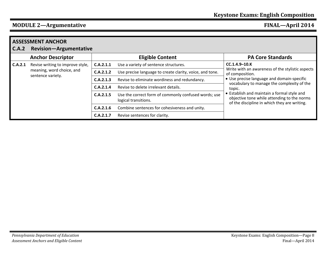### **MODULE 2—Argumentative FINAL—April 2014**

| <b>ASSESSMENT ANCHOR</b> |                                                                                    |           |                                                                              |                                                                                                                                            |  |
|--------------------------|------------------------------------------------------------------------------------|-----------|------------------------------------------------------------------------------|--------------------------------------------------------------------------------------------------------------------------------------------|--|
| C.A.2                    | <b>Revision-Argumentative</b>                                                      |           |                                                                              |                                                                                                                                            |  |
|                          | <b>Anchor Descriptor</b>                                                           |           | <b>Eligible Content</b>                                                      | <b>PA Core Standards</b>                                                                                                                   |  |
| C.A.2.1                  | Revise writing to improve style,<br>meaning, word choice, and<br>sentence variety. | C.A.2.1.1 | Use a variety of sentence structures.                                        | $CC.1.4.9 - 10.K$                                                                                                                          |  |
|                          |                                                                                    | C.A.2.1.2 | Use precise language to create clarity, voice, and tone.                     | Write with an awareness of the stylistic aspects<br>of composition.                                                                        |  |
|                          |                                                                                    | C.A.2.1.3 | Revise to eliminate wordiness and redundancy.                                | • Use precise language and domain-specific<br>vocabulary to manage the complexity of the<br>topic.                                         |  |
|                          |                                                                                    | C.A.2.1.4 | Revise to delete irrelevant details.                                         |                                                                                                                                            |  |
|                          |                                                                                    | C.A.2.1.5 | Use the correct form of commonly confused words; use<br>logical transitions. | • Establish and maintain a formal style and<br>objective tone while attending to the norms<br>of the discipline in which they are writing. |  |
|                          |                                                                                    | C.A.2.1.6 | Combine sentences for cohesiveness and unity.                                |                                                                                                                                            |  |
|                          |                                                                                    | C.A.2.1.7 | Revise sentences for clarity.                                                |                                                                                                                                            |  |